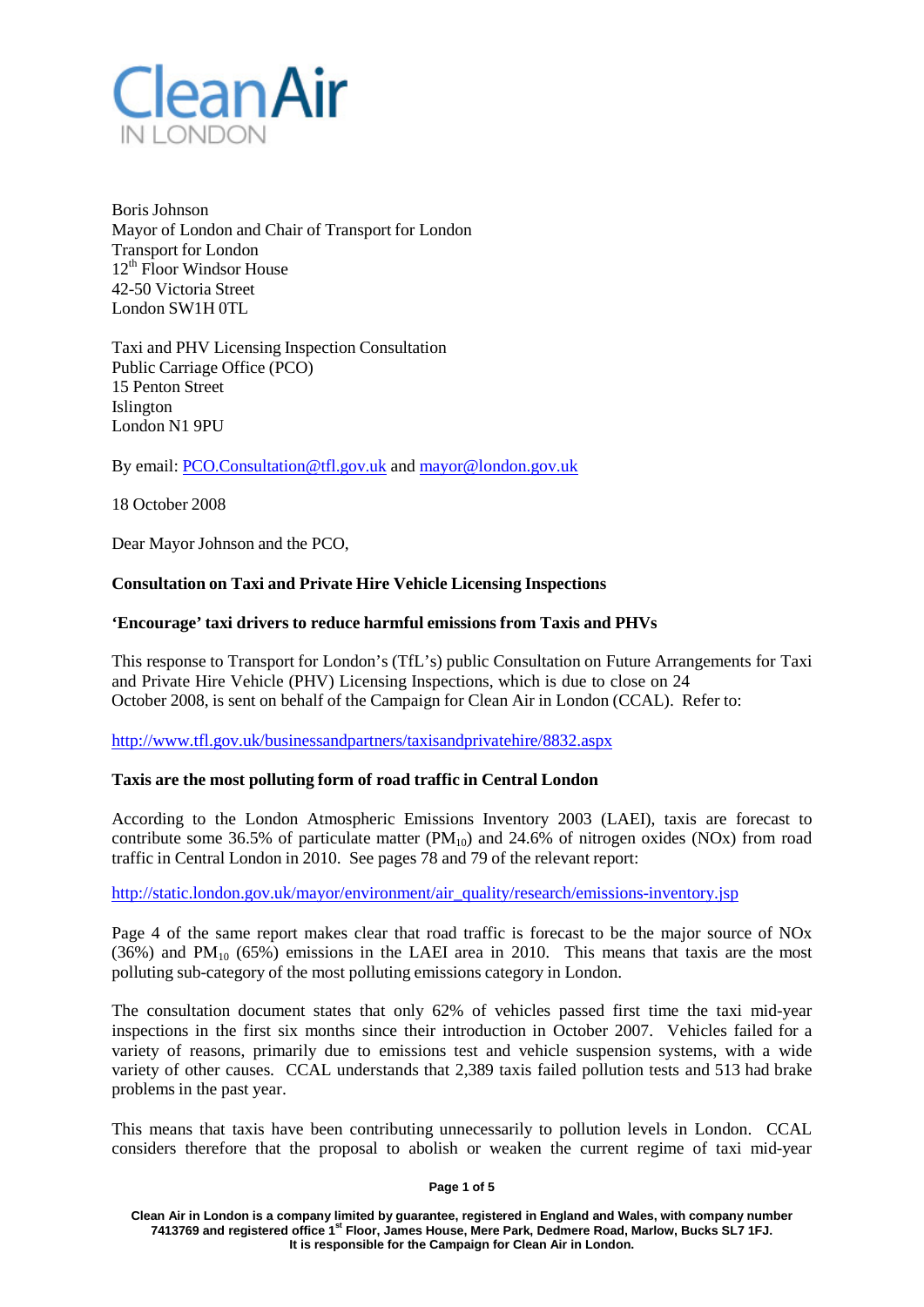

Boris Johnson Mayor of London and Chair of Transport for London Transport for London  $12<sup>th</sup>$  Floor Windsor House 42-50 Victoria Street London SW1H 0TL

Taxi and PHV Licensing Inspection Consultation Public Carriage Office (PCO) 15 Penton Street Islington London N1 9PU

By email: [PCO.Consultation@tfl.gov.uk](mailto:PCO.Consultation@tfl.gov.uk) and [mayor@london.gov.uk](mailto:mayor@london.gov.uk)

18 October 2008

Dear Mayor Johnson and the PCO,

# **Consultation on Taxi and Private Hire Vehicle Licensing Inspections**

## **'Encourage' taxi drivers to reduce harmful emissions from Taxis and PHVs**

This response to Transport for London's (TfL's) public Consultation on Future Arrangements for Taxi and Private Hire Vehicle (PHV) Licensing Inspections, which is due to close on 24 October 2008, is sent on behalf of the Campaign for Clean Air in London (CCAL). Refer to:

<http://www.tfl.gov.uk/businessandpartners/taxisandprivatehire/8832.aspx>

## **Taxis are the most polluting form of road traffic in Central London**

According to the London Atmospheric Emissions Inventory 2003 (LAEI), taxis are forecast to contribute some 36.5% of particulate matter  $(PM_{10})$  and 24.6% of nitrogen oxides (NOx) from road traffic in Central London in 2010. See pages 78 and 79 of the relevant report:

[http://static.london.gov.uk/mayor/environment/air\\_quality/research/emissions-inventory.jsp](http://static.london.gov.uk/mayor/environment/air_quality/research/emissions-inventory.jsp)

Page 4 of the same report makes clear that road traffic is forecast to be the major source of NOx  $(36%)$  and PM<sub>10</sub>  $(65%)$  emissions in the LAEI area in 2010. This means that taxis are the most polluting sub-category of the most polluting emissions category in London.

The consultation document states that only 62% of vehicles passed first time the taxi mid-year inspections in the first six months since their introduction in October 2007. Vehicles failed for a variety of reasons, primarily due to emissions test and vehicle suspension systems, with a wide variety of other causes. CCAL understands that 2,389 taxis failed pollution tests and 513 had brake problems in the past year.

This means that taxis have been contributing unnecessarily to pollution levels in London. CCAL considers therefore that the proposal to abolish or weaken the current regime of taxi mid-year

#### **Page 1 of 5**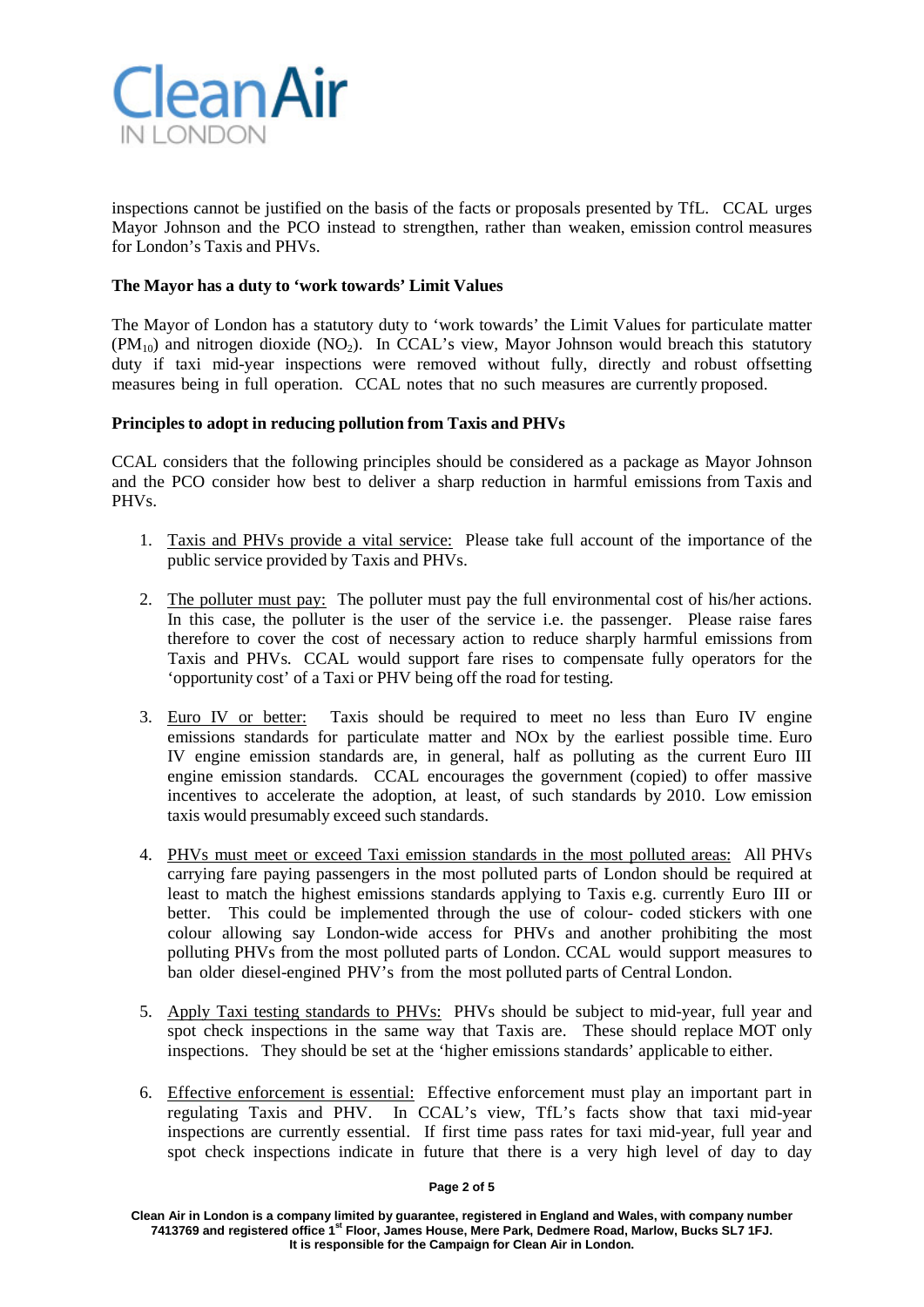

inspections cannot be justified on the basis of the facts or proposals presented by TfL. CCAL urges Mayor Johnson and the PCO instead to strengthen, rather than weaken, emission control measures for London's Taxis and PHVs.

# **The Mayor has a duty to 'work towards' Limit Values**

The Mayor of London has a statutory duty to 'work towards' the Limit Values for particulate matter  $(PM_{10})$  and nitrogen dioxide  $(NO_2)$ . In CCAL's view, Mayor Johnson would breach this statutory duty if taxi mid-year inspections were removed without fully, directly and robust offsetting measures being in full operation. CCAL notes that no such measures are currently proposed.

## **Principles to adopt in reducing pollution from Taxis and PHVs**

CCAL considers that the following principles should be considered as a package as Mayor Johnson and the PCO consider how best to deliver a sharp reduction in harmful emissions from Taxis and PHVs.

- 1. Taxis and PHVs provide a vital service: Please take full account of the importance of the public service provided by Taxis and PHVs.
- 2. The polluter must pay: The polluter must pay the full environmental cost of his/her actions. In this case, the polluter is the user of the service i.e. the passenger. Please raise fares therefore to cover the cost of necessary action to reduce sharply harmful emissions from Taxis and PHVs. CCAL would support fare rises to compensate fully operators for the 'opportunity cost' of a Taxi or PHV being off the road for testing.
- 3. Euro IV or better: Taxis should be required to meet no less than Euro IV engine emissions standards for particulate matter and NOx by the earliest possible time. Euro IV engine emission standards are, in general, half as polluting as the current Euro III engine emission standards. CCAL encourages the government (copied) to offer massive incentives to accelerate the adoption, at least, of such standards by 2010. Low emission taxis would presumably exceed such standards.
- 4. PHVs must meet or exceed Taxi emission standards in the most polluted areas: All PHVs carrying fare paying passengers in the most polluted parts of London should be required at least to match the highest emissions standards applying to Taxis e.g. currently Euro III or better. This could be implemented through the use of colour- coded stickers with one colour allowing say London-wide access for PHVs and another prohibiting the most polluting PHVs from the most polluted parts of London. CCAL would support measures to ban older diesel-engined PHV's from the most polluted parts of Central London.
- 5. Apply Taxi testing standards to PHVs: PHVs should be subject to mid-year, full year and spot check inspections in the same way that Taxis are. These should replace MOT only inspections. They should be set at the 'higher emissions standards' applicable to either.
- 6. Effective enforcement is essential: Effective enforcement must play an important part in regulating Taxis and PHV. In CCAL's view, TfL's facts show that taxi mid-year inspections are currently essential. If first time pass rates for taxi mid-year, full year and spot check inspections indicate in future that there is a very high level of day to day

#### **Page 2 of 5**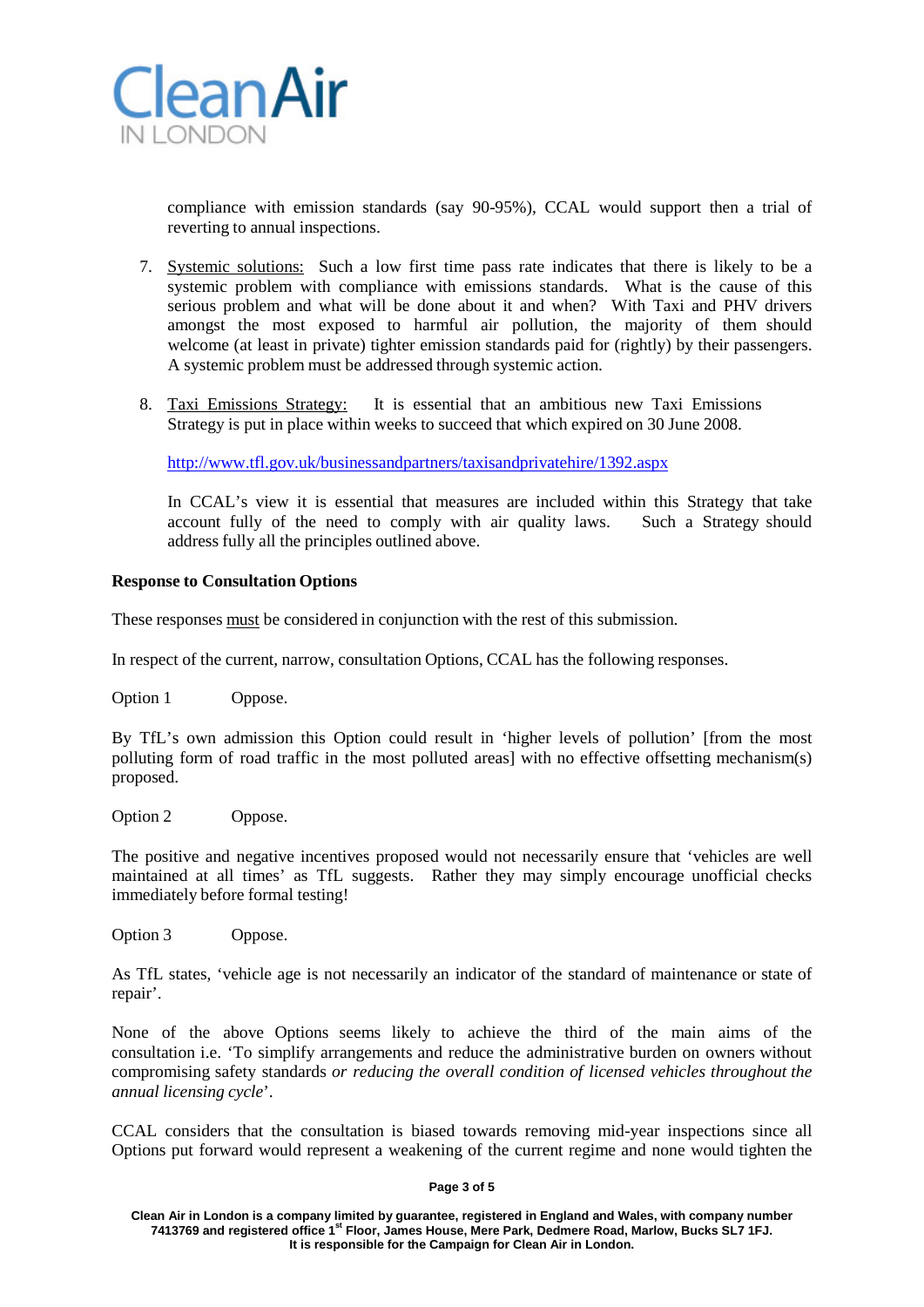

compliance with emission standards (say 90-95%), CCAL would support then a trial of reverting to annual inspections.

- 7. Systemic solutions: Such a low first time pass rate indicates that there is likely to be a systemic problem with compliance with emissions standards. What is the cause of this serious problem and what will be done about it and when? With Taxi and PHV drivers amongst the most exposed to harmful air pollution, the majority of them should welcome (at least in private) tighter emission standards paid for (rightly) by their passengers. A systemic problem must be addressed through systemic action.
- 8. Taxi Emissions Strategy: It is essential that an ambitious new Taxi Emissions Strategy is put in place within weeks to succeed that which expired on 30 June 2008.

<http://www.tfl.gov.uk/businessandpartners/taxisandprivatehire/1392.aspx>

In CCAL's view it is essential that measures are included within this Strategy that take account fully of the need to comply with air quality laws. Such a Strategy should address fully all the principles outlined above.

### **Response to Consultation Options**

These responses must be considered in conjunction with the rest of this submission.

In respect of the current, narrow, consultation Options, CCAL has the following responses.

Option 1 Oppose.

By TfL's own admission this Option could result in 'higher levels of pollution' [from the most polluting form of road traffic in the most polluted areas] with no effective offsetting mechanism(s) proposed.

Option 2 Oppose.

The positive and negative incentives proposed would not necessarily ensure that 'vehicles are well maintained at all times' as TfL suggests. Rather they may simply encourage unofficial checks immediately before formal testing!

Option 3 Oppose.

As TfL states, 'vehicle age is not necessarily an indicator of the standard of maintenance or state of repair'.

None of the above Options seems likely to achieve the third of the main aims of the consultation i.e. 'To simplify arrangements and reduce the administrative burden on owners without compromising safety standards *or reducing the overall condition of licensed vehicles throughout the annual licensing cycle*'.

CCAL considers that the consultation is biased towards removing mid-year inspections since all Options put forward would represent a weakening of the current regime and none would tighten the

#### **Page 3 of 5**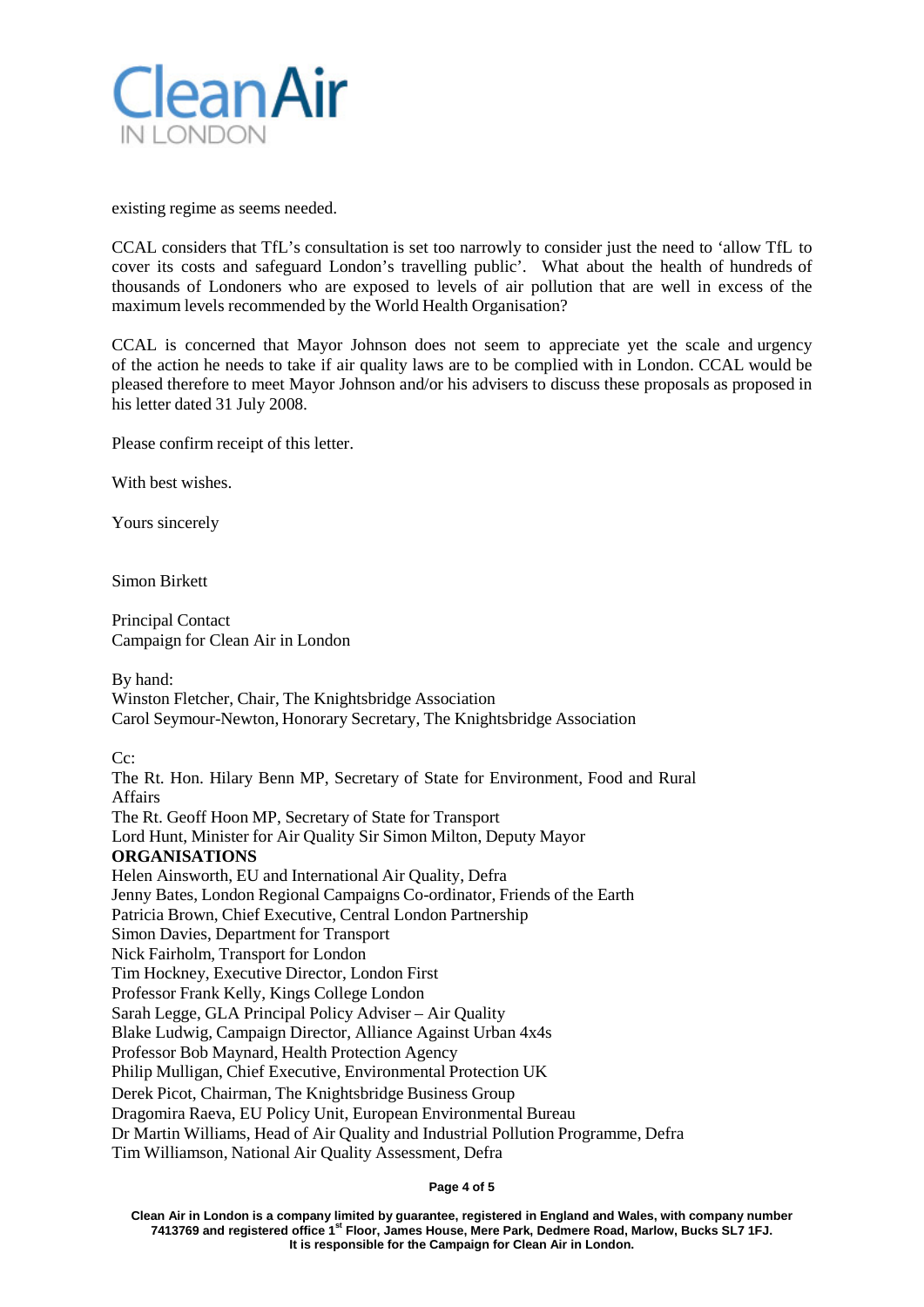

existing regime as seems needed.

CCAL considers that TfL's consultation is set too narrowly to consider just the need to 'allow TfL to cover its costs and safeguard London's travelling public'. What about the health of hundreds of thousands of Londoners who are exposed to levels of air pollution that are well in excess of the maximum levels recommended by the World Health Organisation?

CCAL is concerned that Mayor Johnson does not seem to appreciate yet the scale and urgency of the action he needs to take if air quality laws are to be complied with in London. CCAL would be pleased therefore to meet Mayor Johnson and/or his advisers to discuss these proposals as proposed in his letter dated 31 July 2008.

Please confirm receipt of this letter.

With best wishes.

Yours sincerely

Simon Birkett

Principal Contact Campaign for Clean Air in London

By hand: Winston Fletcher, Chair, The Knightsbridge Association Carol Seymour-Newton, Honorary Secretary, The Knightsbridge Association

Cc:

The Rt. Hon. Hilary Benn MP, Secretary of State for Environment, Food and Rural Affairs The Rt. Geoff Hoon MP, Secretary of State for Transport Lord Hunt, Minister for Air Quality Sir Simon Milton, Deputy Mayor **ORGANISATIONS** Helen Ainsworth, EU and International Air Quality, Defra Jenny Bates, London Regional Campaigns Co-ordinator, Friends of the Earth Patricia Brown, Chief Executive, Central London Partnership Simon Davies, Department for Transport Nick Fairholm, Transport for London Tim Hockney, Executive Director, London First Professor Frank Kelly, Kings College London Sarah Legge, GLA Principal Policy Adviser – Air Quality Blake Ludwig, Campaign Director, Alliance Against Urban 4x4s Professor Bob Maynard, Health Protection Agency Philip Mulligan, Chief Executive, Environmental Protection UK Derek Picot, Chairman, The Knightsbridge Business Group Dragomira Raeva, EU Policy Unit, European Environmental Bureau Dr Martin Williams, Head of Air Quality and Industrial Pollution Programme, Defra Tim Williamson, National Air Quality Assessment, Defra

#### **Page 4 of 5**